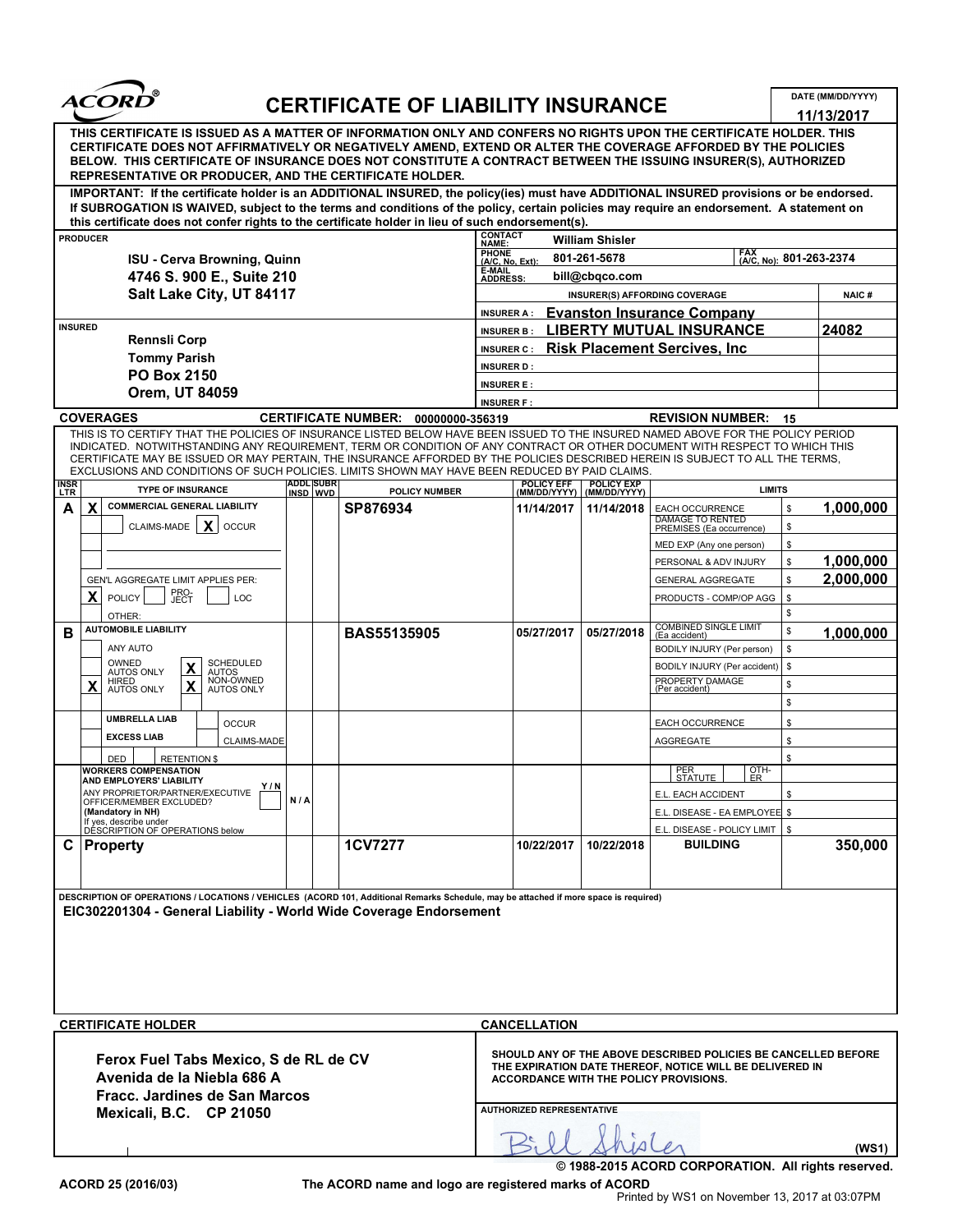

## CERTIFICATE OF LIABILITY INSURANCE

|                                                                                                                                 |                                                                                                                                                                                                                                                                                                                                                                                                                                                                                                   |     |                              | <b>CERTIFICATE OF LIABILITY INSURANCE</b> |                                                                                                                                                                                                          |                                                                                                                  |                                                                                    | DATE (MM/DD/YYYY)      |  |
|---------------------------------------------------------------------------------------------------------------------------------|---------------------------------------------------------------------------------------------------------------------------------------------------------------------------------------------------------------------------------------------------------------------------------------------------------------------------------------------------------------------------------------------------------------------------------------------------------------------------------------------------|-----|------------------------------|-------------------------------------------|----------------------------------------------------------------------------------------------------------------------------------------------------------------------------------------------------------|------------------------------------------------------------------------------------------------------------------|------------------------------------------------------------------------------------|------------------------|--|
|                                                                                                                                 | THIS CERTIFICATE IS ISSUED AS A MATTER OF INFORMATION ONLY AND CONFERS NO RIGHTS UPON THE CERTIFICATE HOLDER. THIS<br>CERTIFICATE DOES NOT AFFIRMATIVELY OR NEGATIVELY AMEND, EXTEND OR ALTER THE COVERAGE AFFORDED BY THE POLICIES<br>BELOW. THIS CERTIFICATE OF INSURANCE DOES NOT CONSTITUTE A CONTRACT BETWEEN THE ISSUING INSURER(S), AUTHORIZED<br>REPRESENTATIVE OR PRODUCER, AND THE CERTIFICATE HOLDER.                                                                                  |     |                              |                                           |                                                                                                                                                                                                          |                                                                                                                  |                                                                                    | 11/13/2017             |  |
|                                                                                                                                 | IMPORTANT: If the certificate holder is an ADDITIONAL INSURED, the policy(ies) must have ADDITIONAL INSURED provisions or be endorsed.<br>If SUBROGATION IS WAIVED, subject to the terms and conditions of the policy, certain policies may require an endorsement. A statement on<br>this certificate does not confer rights to the certificate holder in lieu of such endorsement(s).                                                                                                           |     |                              |                                           |                                                                                                                                                                                                          |                                                                                                                  |                                                                                    |                        |  |
|                                                                                                                                 | <b>PRODUCER</b>                                                                                                                                                                                                                                                                                                                                                                                                                                                                                   |     |                              |                                           | <b>CONTACT</b><br>NAME:                                                                                                                                                                                  | <b>William Shisler</b>                                                                                           |                                                                                    |                        |  |
|                                                                                                                                 | ISU - Cerva Browning, Quinn                                                                                                                                                                                                                                                                                                                                                                                                                                                                       |     |                              |                                           | <b>PHONE</b><br>FAX (A/C, No): 801-263-2374<br>801-261-5678<br>$(A/C, No, Ext)$ :                                                                                                                        |                                                                                                                  |                                                                                    |                        |  |
| 4746 S. 900 E., Suite 210<br>Salt Lake City, UT 84117                                                                           |                                                                                                                                                                                                                                                                                                                                                                                                                                                                                                   |     |                              |                                           | E-MAIL<br>ADDRESS:<br>bill@cbqco.com                                                                                                                                                                     |                                                                                                                  |                                                                                    |                        |  |
|                                                                                                                                 |                                                                                                                                                                                                                                                                                                                                                                                                                                                                                                   |     |                              |                                           |                                                                                                                                                                                                          | INSURER(S) AFFORDING COVERAGE<br><b>NAIC#</b>                                                                    |                                                                                    |                        |  |
|                                                                                                                                 |                                                                                                                                                                                                                                                                                                                                                                                                                                                                                                   |     |                              |                                           | <b>INSURER A:</b>                                                                                                                                                                                        |                                                                                                                  | <b>Evanston Insurance Company</b>                                                  |                        |  |
| <b>INSURED</b><br><b>Rennsli Corp</b>                                                                                           |                                                                                                                                                                                                                                                                                                                                                                                                                                                                                                   |     |                              |                                           |                                                                                                                                                                                                          | <b>LIBERTY MUTUAL INSURANCE</b><br>24082<br><b>INSURER B:</b><br><b>INSURER C: Risk Placement Sercives, Inc.</b> |                                                                                    |                        |  |
|                                                                                                                                 | <b>Tommy Parish</b>                                                                                                                                                                                                                                                                                                                                                                                                                                                                               |     |                              |                                           | <b>INSURER D:</b>                                                                                                                                                                                        |                                                                                                                  |                                                                                    |                        |  |
|                                                                                                                                 | <b>PO Box 2150</b>                                                                                                                                                                                                                                                                                                                                                                                                                                                                                |     |                              |                                           | <b>INSURER E:</b>                                                                                                                                                                                        |                                                                                                                  |                                                                                    |                        |  |
|                                                                                                                                 | Orem, UT 84059                                                                                                                                                                                                                                                                                                                                                                                                                                                                                    |     |                              |                                           | <b>INSURER F:</b>                                                                                                                                                                                        |                                                                                                                  |                                                                                    |                        |  |
|                                                                                                                                 | <b>COVERAGES</b>                                                                                                                                                                                                                                                                                                                                                                                                                                                                                  |     |                              | CERTIFICATE NUMBER: 00000000-356319       |                                                                                                                                                                                                          |                                                                                                                  | <b>REVISION NUMBER: 15</b>                                                         |                        |  |
|                                                                                                                                 | THIS IS TO CERTIFY THAT THE POLICIES OF INSURANCE LISTED BELOW HAVE BEEN ISSUED TO THE INSURED NAMED ABOVE FOR THE POLICY PERIOD<br>INDICATED. NOTWITHSTANDING ANY REQUIREMENT, TERM OR CONDITION OF ANY CONTRACT OR OTHER DOCUMENT WITH RESPECT TO WHICH THIS<br>CERTIFICATE MAY BE ISSUED OR MAY PERTAIN, THE INSURANCE AFFORDED BY THE POLICIES DESCRIBED HEREIN IS SUBJECT TO ALL THE TERMS,<br>EXCLUSIONS AND CONDITIONS OF SUCH POLICIES. LIMITS SHOWN MAY HAVE BEEN REDUCED BY PAID CLAIMS |     |                              |                                           |                                                                                                                                                                                                          |                                                                                                                  |                                                                                    |                        |  |
| <b>INSR</b><br>LTR                                                                                                              | <b>TYPE OF INSURANCE</b>                                                                                                                                                                                                                                                                                                                                                                                                                                                                          |     | <b>ADDL SUBR</b><br>INSD WVD | <b>POLICY NUMBER</b>                      |                                                                                                                                                                                                          | <b>POLICY EFF POLICY EXP</b><br>(MM/DD/YYYY)   (MM/DD/YYYY)                                                      | <b>LIMITS</b>                                                                      |                        |  |
| $\mathsf{A}$                                                                                                                    | X COMMERCIAL GENERAL LIABILITY<br>CLAIMS-MADE $\vert X \vert$<br>OCCUR                                                                                                                                                                                                                                                                                                                                                                                                                            |     |                              | SP876934                                  | 11/14/2017                                                                                                                                                                                               | 11/14/2018                                                                                                       | EACH OCCURRENCE<br>\$<br><b>DAMAGE TO RENTED</b><br>\$<br>PREMISES (Ea occurrence) | 1,000,000              |  |
|                                                                                                                                 |                                                                                                                                                                                                                                                                                                                                                                                                                                                                                                   |     |                              |                                           |                                                                                                                                                                                                          |                                                                                                                  | \$<br>MED EXP (Any one person)                                                     |                        |  |
|                                                                                                                                 |                                                                                                                                                                                                                                                                                                                                                                                                                                                                                                   |     |                              |                                           |                                                                                                                                                                                                          |                                                                                                                  | \$<br>PERSONAL & ADV INJURY                                                        | 1,000,000<br>2,000,000 |  |
|                                                                                                                                 | GEN'L AGGREGATE LIMIT APPLIES PER:<br>PRO-<br>JECT<br>$X$ POLICY<br>LOC                                                                                                                                                                                                                                                                                                                                                                                                                           |     |                              |                                           |                                                                                                                                                                                                          |                                                                                                                  | <b>GENERAL AGGREGATE</b><br>\$<br>PRODUCTS - COMP/OP AGG   \$                      |                        |  |
|                                                                                                                                 | OTHER:<br><b>AUTOMOBILE LIABILITY</b>                                                                                                                                                                                                                                                                                                                                                                                                                                                             |     |                              |                                           |                                                                                                                                                                                                          |                                                                                                                  | S.<br>05/27/2018 COMBINED SINGLE LIMIT<br>\$                                       |                        |  |
| В                                                                                                                               | ANY AUTO                                                                                                                                                                                                                                                                                                                                                                                                                                                                                          |     |                              | <b>BAS55135905</b>                        | 05/27/2017                                                                                                                                                                                               |                                                                                                                  | BODILY INJURY (Per person)   \$                                                    | 1,000,000              |  |
|                                                                                                                                 | SCHEDULED<br>OWNED<br>X                                                                                                                                                                                                                                                                                                                                                                                                                                                                           |     |                              |                                           |                                                                                                                                                                                                          |                                                                                                                  | BODILY INJURY (Per accident)   \$                                                  |                        |  |
|                                                                                                                                 | AUTOS ONLY<br><b>AUTOS</b><br>NON-OWNED<br><b>HIRED</b><br>$\mathbf{x}$<br>X AUTOS ONLY<br>AUTOS ONLY                                                                                                                                                                                                                                                                                                                                                                                             |     |                              |                                           |                                                                                                                                                                                                          |                                                                                                                  | PROPERTY DAMAGE<br>s.<br>(Per accident)                                            |                        |  |
|                                                                                                                                 |                                                                                                                                                                                                                                                                                                                                                                                                                                                                                                   |     |                              |                                           |                                                                                                                                                                                                          |                                                                                                                  | $\mathbf{s}$                                                                       |                        |  |
|                                                                                                                                 | <b>UMBRELLA LIAB</b><br><b>OCCUR</b>                                                                                                                                                                                                                                                                                                                                                                                                                                                              |     |                              |                                           |                                                                                                                                                                                                          |                                                                                                                  | EACH OCCURRENCE<br>\$                                                              |                        |  |
|                                                                                                                                 | <b>EXCESS LIAB</b><br>CLAIMS-MADE                                                                                                                                                                                                                                                                                                                                                                                                                                                                 |     |                              |                                           |                                                                                                                                                                                                          |                                                                                                                  | AGGREGATE<br>\$.                                                                   |                        |  |
|                                                                                                                                 | DED<br><b>RETENTION \$</b><br><b>WORKERS COMPENSATION</b>                                                                                                                                                                                                                                                                                                                                                                                                                                         |     |                              |                                           |                                                                                                                                                                                                          |                                                                                                                  | £.<br>$\frac{QTH}{ER}$<br>PER<br>STATUTE                                           |                        |  |
|                                                                                                                                 | AND EMPLOYERS' LIABILITY<br>Y/N<br>ANY PROPRIETOR/PARTNER/EXECUTIVE                                                                                                                                                                                                                                                                                                                                                                                                                               |     |                              |                                           |                                                                                                                                                                                                          |                                                                                                                  | E.L. EACH ACCIDENT<br>\$.                                                          |                        |  |
|                                                                                                                                 | OFFICER/MEMBER EXCLUDED?<br>(Mandatory in NH)                                                                                                                                                                                                                                                                                                                                                                                                                                                     | N/A |                              |                                           |                                                                                                                                                                                                          |                                                                                                                  | E.L. DISEASE - EA EMPLOYEE \$                                                      |                        |  |
|                                                                                                                                 | If yes, describe under<br>DESCRIPTION OF OPERATIONS below                                                                                                                                                                                                                                                                                                                                                                                                                                         |     |                              |                                           |                                                                                                                                                                                                          |                                                                                                                  | E.L. DISEASE - POLICY LIMIT   \$                                                   |                        |  |
|                                                                                                                                 | C   Property                                                                                                                                                                                                                                                                                                                                                                                                                                                                                      |     |                              | <b>1CV7277</b>                            | 10/22/2017                                                                                                                                                                                               | 10/22/2018                                                                                                       | <b>BUILDING</b>                                                                    | 350,000                |  |
|                                                                                                                                 |                                                                                                                                                                                                                                                                                                                                                                                                                                                                                                   |     |                              |                                           |                                                                                                                                                                                                          |                                                                                                                  |                                                                                    |                        |  |
|                                                                                                                                 | DESCRIPTION OF OPERATIONS / LOCATIONS / VEHICLES (ACORD 101, Additional Remarks Schedule, may be attached if more space is required)                                                                                                                                                                                                                                                                                                                                                              |     |                              |                                           |                                                                                                                                                                                                          |                                                                                                                  |                                                                                    |                        |  |
|                                                                                                                                 | EIC302201304 - General Liability - World Wide Coverage Endorsement                                                                                                                                                                                                                                                                                                                                                                                                                                |     |                              |                                           |                                                                                                                                                                                                          |                                                                                                                  |                                                                                    |                        |  |
|                                                                                                                                 |                                                                                                                                                                                                                                                                                                                                                                                                                                                                                                   |     |                              |                                           |                                                                                                                                                                                                          |                                                                                                                  |                                                                                    |                        |  |
|                                                                                                                                 |                                                                                                                                                                                                                                                                                                                                                                                                                                                                                                   |     |                              |                                           |                                                                                                                                                                                                          |                                                                                                                  |                                                                                    |                        |  |
|                                                                                                                                 |                                                                                                                                                                                                                                                                                                                                                                                                                                                                                                   |     |                              |                                           |                                                                                                                                                                                                          |                                                                                                                  |                                                                                    |                        |  |
|                                                                                                                                 | <b>CERTIFICATE HOLDER</b>                                                                                                                                                                                                                                                                                                                                                                                                                                                                         |     |                              |                                           | <b>CANCELLATION</b>                                                                                                                                                                                      |                                                                                                                  |                                                                                    |                        |  |
| Ferox Fuel Tabs Mexico, S de RL de CV<br>Avenida de la Niebla 686 A<br>Fracc. Jardines de San Marcos<br>Mexicali, B.C. CP 21050 |                                                                                                                                                                                                                                                                                                                                                                                                                                                                                                   |     |                              |                                           | SHOULD ANY OF THE ABOVE DESCRIBED POLICIES BE CANCELLED BEFORE<br>THE EXPIRATION DATE THEREOF, NOTICE WILL BE DELIVERED IN<br>ACCORDANCE WITH THE POLICY PROVISIONS.<br><b>AUTHORIZED REPRESENTATIVE</b> |                                                                                                                  |                                                                                    |                        |  |
|                                                                                                                                 |                                                                                                                                                                                                                                                                                                                                                                                                                                                                                                   |     |                              |                                           | B: Il Shirler<br>(WS1)                                                                                                                                                                                   |                                                                                                                  |                                                                                    |                        |  |

ACORD 25 (2016/03) The ACORD name and logo are registered marks of ACORD<br>Printed by WS1 on November 13, 2017 at 03:07PM

© 1988-2015 ACORD CORPORATION. All rights reserved.